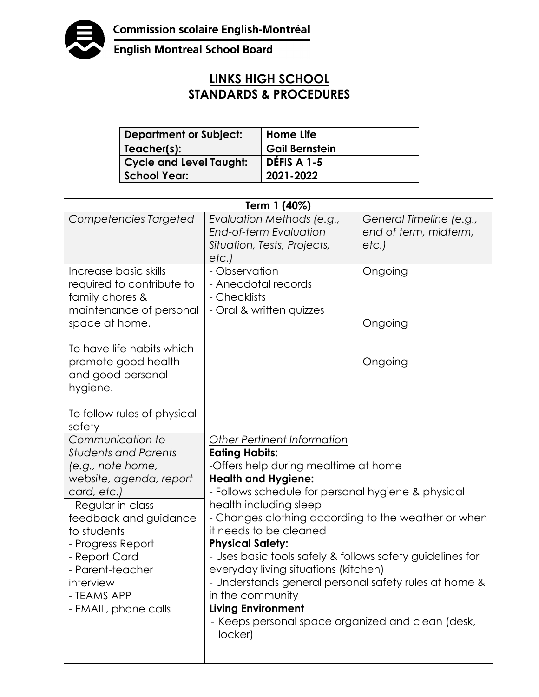

**English Montreal School Board** 

## **LINKS HIGH SCHOOL STANDARDS & PROCEDURES**

| <b>Department or Subject:</b>  | Home Life             |
|--------------------------------|-----------------------|
| Teacher(s):                    | <b>Gail Bernstein</b> |
| <b>Cycle and Level Taught:</b> | DÉFIS A 1-5           |
| <b>School Year:</b>            | 2021-2022             |

| Term 1 (40%)                                                                                                                                                                                                                                                                               |                                                                                                                                                                                                                                                                                                                                                                                                                                                                                                                                                                                                              |                                                          |  |
|--------------------------------------------------------------------------------------------------------------------------------------------------------------------------------------------------------------------------------------------------------------------------------------------|--------------------------------------------------------------------------------------------------------------------------------------------------------------------------------------------------------------------------------------------------------------------------------------------------------------------------------------------------------------------------------------------------------------------------------------------------------------------------------------------------------------------------------------------------------------------------------------------------------------|----------------------------------------------------------|--|
| Competencies Targeted                                                                                                                                                                                                                                                                      | Evaluation Methods (e.g.,<br><b>End-of-term Evaluation</b><br>Situation, Tests, Projects,<br>etc.)                                                                                                                                                                                                                                                                                                                                                                                                                                                                                                           | General Timeline (e.g.,<br>end of term, midterm,<br>etc. |  |
| Increase basic skills<br>required to contribute to<br>family chores &<br>maintenance of personal<br>space at home.<br>To have life habits which<br>promote good health<br>and good personal<br>hygiene.                                                                                    | - Observation<br>- Anecdotal records<br>- Checklists<br>- Oral & written quizzes                                                                                                                                                                                                                                                                                                                                                                                                                                                                                                                             | Ongoing<br>Ongoing<br>Ongoing                            |  |
| To follow rules of physical<br>safety                                                                                                                                                                                                                                                      |                                                                                                                                                                                                                                                                                                                                                                                                                                                                                                                                                                                                              |                                                          |  |
| Communication to<br><b>Students and Parents</b><br>(e.g., note home,<br>website, agenda, report<br>card, etc.)<br>- Regular in-class<br>feedback and guidance<br>to students<br>- Progress Report<br>- Report Card<br>- Parent-teacher<br>interview<br>- TEAMS APP<br>- EMAIL, phone calls | <b>Other Pertinent Information</b><br><b>Eating Habits:</b><br>-Offers help during mealtime at home<br><b>Health and Hygiene:</b><br>- Follows schedule for personal hygiene & physical<br>health including sleep<br>- Changes clothing according to the weather or when<br>it needs to be cleaned<br><b>Physical Safety:</b><br>- Uses basic tools safely & follows safety guidelines for<br>everyday living situations (kitchen)<br>- Understands general personal safety rules at home &<br>in the community<br><b>Living Environment</b><br>- Keeps personal space organized and clean (desk,<br>locker) |                                                          |  |